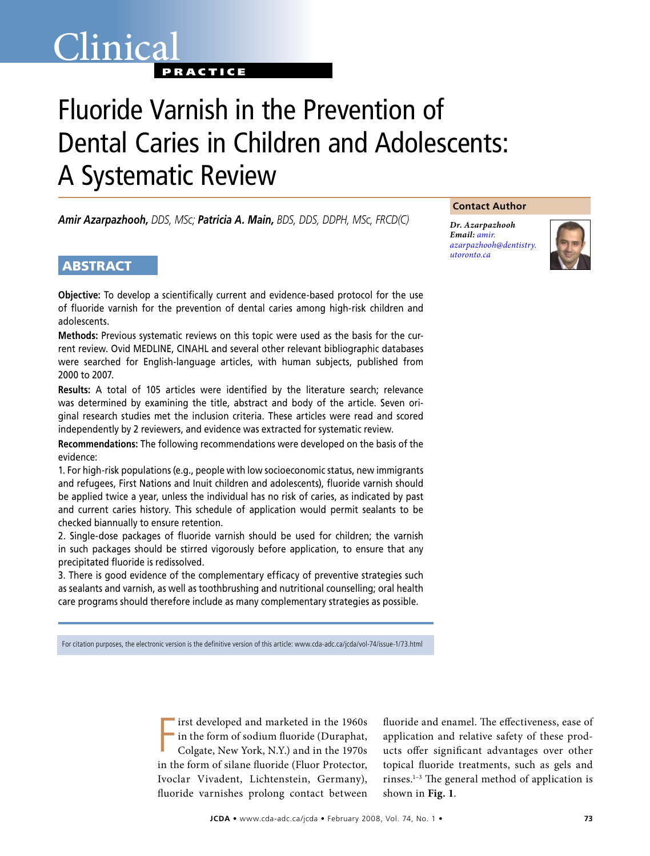# Clinica<sup>®</sup> **PRACTICE**

# Fluoride Varnish in the Prevention of Dental Caries in Children and Adolescents: A Systematic Review

*Amir Azarpazhooh, DDS, MSc; Patricia A. Main, BDS, DDS, DDPH, MSc, FRCD(C)*

# **ABSTRACT**

**Objective:** To develop a scientifically current and evidence-based protocol for the use of fluoride varnish for the prevention of dental caries among high-risk children and adolescents.

**Methods:** Previous systematic reviews on this topic were used as the basis for the current review. Ovid MEDLINE, CINAHL and several other relevant bibliographic databases were searched for English-language articles, with human subjects, published from 2000 to 2007.

**Results:** A total of 105 articles were identified by the literature search; relevance was determined by examining the title, abstract and body of the article. Seven original research studies met the inclusion criteria. These articles were read and scored independently by 2 reviewers, and evidence was extracted for systematic review.

**Recommendations:** The following recommendations were developed on the basis of the evidence:

1. For high-risk populations (e.g., people with low socioeconomic status, new immigrants and refugees, First Nations and Inuit children and adolescents), fluoride varnish should be applied twice a year, unless the individual has no risk of caries, as indicated by past and current caries history. This schedule of application would permit sealants to be checked biannually to ensure retention.

2. Single-dose packages of fluoride varnish should be used for children; the varnish in such packages should be stirred vigorously before application, to ensure that any precipitated fluoride is redissolved.

3. There is good evidence of the complementary efficacy of preventive strategies such as sealants and varnish, as well as toothbrushing and nutritional counselling; oral health care programs should therefore include as many complementary strategies as possible.

For citation purposes, the electronic version is the definitive version of this article: www.cda-adc.ca/jcda/vol-74/issue-1/73.html

F irst developed and marketed in the 1960s in the form of sodium fluoride (Duraphat, Colgate, New York, N.Y.) and in the 1970s in the form of silane fluoride (Fluor Protector, Ivoclar Vivadent, Lichtenstein, Germany), fluoride varnishes prolong contact between

fluoride and enamel. The effectiveness, ease of application and relative safety of these products offer significant advantages over other topical fluoride treatments, such as gels and rinses.1–3 The general method of application is shown in **Fig. 1**.

#### **Contact Author**

*Dr. Azarpazhooh Email: amir. [azarpazhooh@dentistry.](mailto: amir.azarpazhooh@dentistry.utoronto.ca) utoronto.ca*

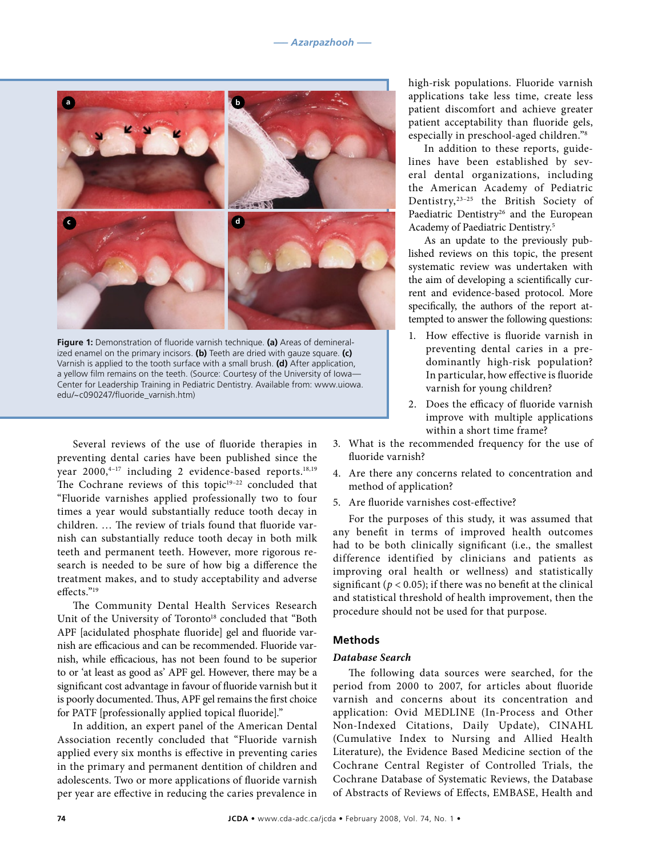

**Figure 1:** Demonstration of fluoride varnish technique. **(a)** Areas of demineralized enamel on the primary incisors. **(b)** Teeth are dried with gauze square. **(c)** Varnish is applied to the tooth surface with a small brush. **(d)** After application, a yellow film remains on the teeth. (Source: Courtesy of the University of Iowa— Center for Leadership Training in Pediatric Dentistry. Available from: www.uiowa. edu/~c090247/fluoride\_varnish.htm)

Several reviews of the use of fluoride therapies in preventing dental caries have been published since the year 2000,<sup>4-17</sup> including 2 evidence-based reports.<sup>18,19</sup> The Cochrane reviews of this topic<sup>19-22</sup> concluded that "Fluoride varnishes applied professionally two to four times a year would substantially reduce tooth decay in children. … The review of trials found that fluoride varnish can substantially reduce tooth decay in both milk teeth and permanent teeth. However, more rigorous research is needed to be sure of how big a difference the treatment makes, and to study acceptability and adverse effects."19

The Community Dental Health Services Research Unit of the University of Toronto<sup>18</sup> concluded that "Both APF [acidulated phosphate fluoride] gel and fluoride varnish are efficacious and can be recommended. Fluoride varnish, while efficacious, has not been found to be superior to or 'at least as good as' APF gel. However, there may be a significant cost advantage in favour of fluoride varnish but it is poorly documented. Thus, APF gel remains the first choice for PATF [professionally applied topical fluoride]."

In addition, an expert panel of the American Dental Association recently concluded that "Fluoride varnish applied every six months is effective in preventing caries in the primary and permanent dentition of children and adolescents. Two or more applications of fluoride varnish per year are effective in reducing the caries prevalence in high-risk populations. Fluoride varnish applications take less time, create less patient discomfort and achieve greater patient acceptability than fluoride gels, especially in preschool-aged children."8

In addition to these reports, guidelines have been established by several dental organizations, including the American Academy of Pediatric Dentistry,23–25 the British Society of Paediatric Dentistry<sup>26</sup> and the European Academy of Paediatric Dentistry.5

As an update to the previously published reviews on this topic, the present systematic review was undertaken with the aim of developing a scientifically current and evidence-based protocol. More specifically, the authors of the report attempted to answer the following questions:

- 1. How effective is fluoride varnish in preventing dental caries in a predominantly high-risk population? In particular, how effective is fluoride varnish for young children?
- 2. Does the efficacy of fluoride varnish improve with multiple applications within a short time frame?
- 3. What is the recommended frequency for the use of fluoride varnish?
- 4. Are there any concerns related to concentration and method of application?
- 5. Are fluoride varnishes cost-effective?

For the purposes of this study, it was assumed that any benefit in terms of improved health outcomes had to be both clinically significant (i.e., the smallest difference identified by clinicians and patients as improving oral health or wellness) and statistically significant ( $p < 0.05$ ); if there was no benefit at the clinical and statistical threshold of health improvement, then the procedure should not be used for that purpose.

# **Methods**

## *Database Search*

The following data sources were searched, for the period from 2000 to 2007, for articles about fluoride varnish and concerns about its concentration and application: Ovid MEDLINE (In-Process and Other Non-Indexed Citations, Daily Update), CINAHL (Cumulative Index to Nursing and Allied Health Literature), the Evidence Based Medicine section of the Cochrane Central Register of Controlled Trials, the Cochrane Database of Systematic Reviews, the Database of Abstracts of Reviews of Effects, EMBASE, Health and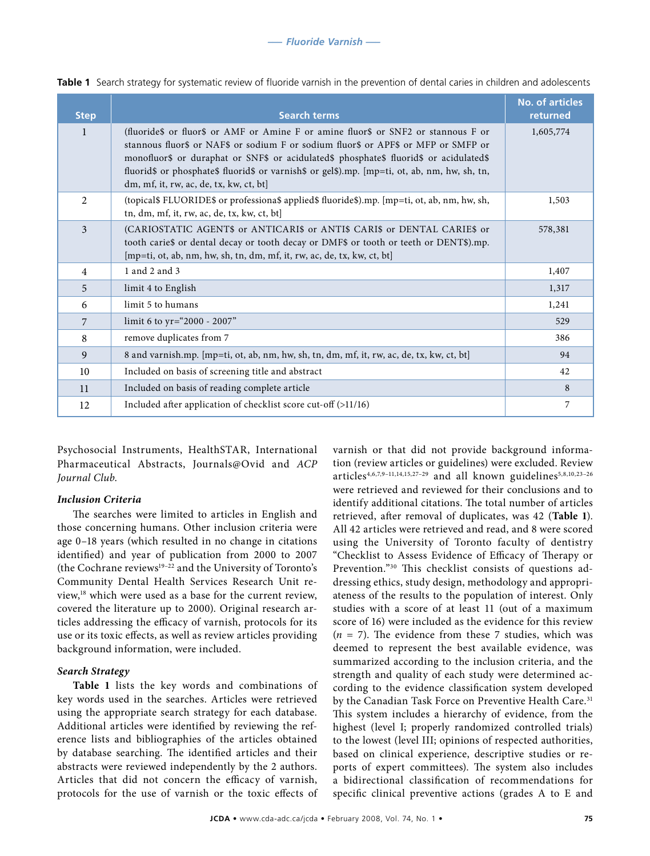| <b>Step</b>    | <b>Search terms</b>                                                                                                                                                                                                                                                                                                                                                                                           | <b>No. of articles</b><br>returned |
|----------------|---------------------------------------------------------------------------------------------------------------------------------------------------------------------------------------------------------------------------------------------------------------------------------------------------------------------------------------------------------------------------------------------------------------|------------------------------------|
| $\mathbf{1}$   | (fluoride\$ or fluor\$ or AMF or Amine F or amine fluor\$ or SNF2 or stannous F or<br>stannous fluor\$ or NAF\$ or sodium F or sodium fluor\$ or APF\$ or MFP or SMFP or<br>monofluor\$ or duraphat or SNF\$ or acidulated\$ phosphate\$ fluorid\$ or acidulated\$<br>fluorid\$ or phosphate\$ fluorid\$ or varnish\$ or gel\$).mp. [mp=ti, ot, ab, nm, hw, sh, tn,<br>dm, mf, it, rw, ac, de, tx, kw, ct, bt | 1,605,774                          |
| $\mathfrak{D}$ | (topical\$ FLUORIDE\$ or professiona\$ applied\$ fluoride\$).mp. [mp=ti, ot, ab, nm, hw, sh,<br>tn, dm, mf, it, rw, ac, de, tx, kw, ct, bt]                                                                                                                                                                                                                                                                   | 1,503                              |
| 3              | (CARIOSTATIC AGENT\$ or ANTICARI\$ or ANTI\$ CARI\$ or DENTAL CARIE\$ or<br>tooth caries or dental decay or tooth decay or DMF\$ or tooth or teeth or DENT\$).mp.<br>[mp=ti, ot, ab, nm, hw, sh, tn, dm, mf, it, rw, ac, de, tx, kw, ct, bt]                                                                                                                                                                  | 578,381                            |
| $\overline{4}$ | 1 and 2 and 3                                                                                                                                                                                                                                                                                                                                                                                                 | 1,407                              |
| 5              | limit 4 to English                                                                                                                                                                                                                                                                                                                                                                                            | 1,317                              |
| 6              | limit 5 to humans                                                                                                                                                                                                                                                                                                                                                                                             | 1,241                              |
| 7              | limit 6 to yr="2000 - 2007"                                                                                                                                                                                                                                                                                                                                                                                   | 529                                |
| 8              | remove duplicates from 7                                                                                                                                                                                                                                                                                                                                                                                      | 386                                |
| 9              | 8 and varnish.mp. [mp=ti, ot, ab, nm, hw, sh, tn, dm, mf, it, rw, ac, de, tx, kw, ct, bt]                                                                                                                                                                                                                                                                                                                     | 94                                 |
| 10             | Included on basis of screening title and abstract                                                                                                                                                                                                                                                                                                                                                             | 42                                 |
| 11             | Included on basis of reading complete article                                                                                                                                                                                                                                                                                                                                                                 | 8                                  |
| 12             | Included after application of checklist score cut-off (>11/16)                                                                                                                                                                                                                                                                                                                                                | 7                                  |

|  |  |  |  |  | Table 1 Search strategy for systematic review of fluoride varnish in the prevention of dental caries in children and adolescents |  |
|--|--|--|--|--|----------------------------------------------------------------------------------------------------------------------------------|--|
|--|--|--|--|--|----------------------------------------------------------------------------------------------------------------------------------|--|

Psychosocial Instruments, HealthSTAR, International Pharmaceutical Abstracts, Journals@Ovid and *ACP Journal Club*.

#### *Inclusion Criteria*

The searches were limited to articles in English and those concerning humans. Other inclusion criteria were age 0–18 years (which resulted in no change in citations identified) and year of publication from 2000 to 2007 (the Cochrane reviews<sup>19-22</sup> and the University of Toronto's Community Dental Health Services Research Unit review,18 which were used as a base for the current review, covered the literature up to 2000). Original research articles addressing the efficacy of varnish, protocols for its use or its toxic effects, as well as review articles providing background information, were included.

#### *Search Strategy*

**Table 1** lists the key words and combinations of key words used in the searches. Articles were retrieved using the appropriate search strategy for each database. Additional articles were identified by reviewing the reference lists and bibliographies of the articles obtained by database searching. The identified articles and their abstracts were reviewed independently by the 2 authors. Articles that did not concern the efficacy of varnish, protocols for the use of varnish or the toxic effects of varnish or that did not provide background information (review articles or guidelines) were excluded. Review articles<sup>4,6,7,9-11,14,15,27-29</sup> and all known guidelines<sup>5,8,10,23-26</sup> were retrieved and reviewed for their conclusions and to identify additional citations. The total number of articles retrieved, after removal of duplicates, was 42 (**Table 1**). All 42 articles were retrieved and read, and 8 were scored using the University of Toronto faculty of dentistry "Checklist to Assess Evidence of Efficacy of Therapy or Prevention."30 This checklist consists of questions addressing ethics, study design, methodology and appropriateness of the results to the population of interest. Only studies with a score of at least 11 (out of a maximum score of 16) were included as the evidence for this review  $(n = 7)$ . The evidence from these 7 studies, which was deemed to represent the best available evidence, was summarized according to the inclusion criteria, and the strength and quality of each study were determined according to the evidence classification system developed by the Canadian Task Force on Preventive Health Care.<sup>31</sup> This system includes a hierarchy of evidence, from the highest (level I; properly randomized controlled trials) to the lowest (level III; opinions of respected authorities, based on clinical experience, descriptive studies or reports of expert committees). The system also includes a bidirectional classification of recommendations for specific clinical preventive actions (grades A to E and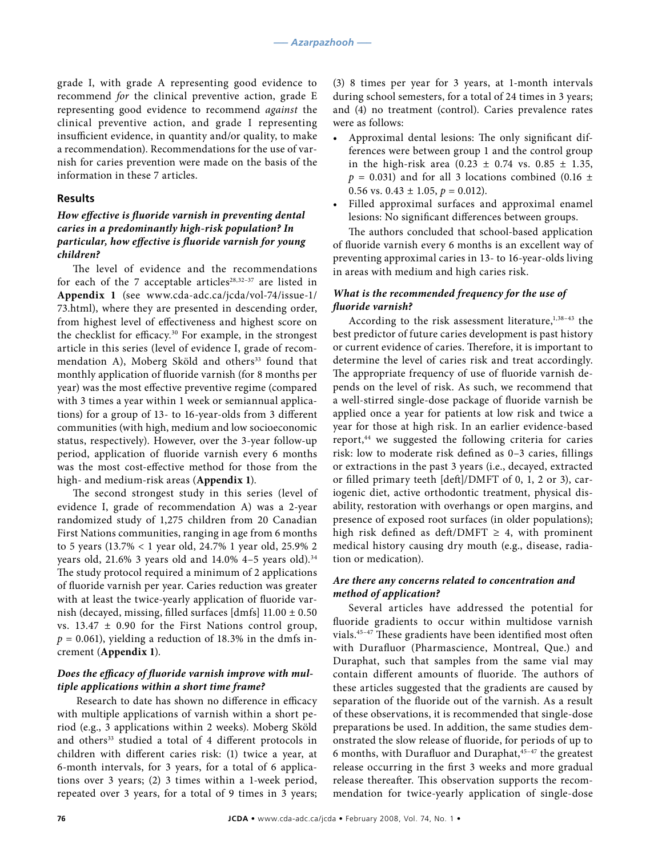grade I, with grade A representing good evidence to recommend *for* the clinical preventive action, grade E representing good evidence to recommend *against* the clinical preventive action, and grade I representing insufficient evidence, in quantity and/or quality, to make a recommendation). Recommendations for the use of varnish for caries prevention were made on the basis of the information in these 7 articles.

#### **Results**

# *How effective is fluoride varnish in preventing dental caries in a predominantly high-risk population? In particular, how effective is fluoride varnish for young children?*

The level of evidence and the recommendations for each of the 7 acceptable articles<sup>28,32-37</sup> are listed in **Appendix 1** (see www.cda-adc.ca/jcda/vol-74/issue-1/ 73.html), where they are presented in descending order, from highest level of effectiveness and highest score on the checklist for efficacy.30 For example, in the strongest article in this series (level of evidence I, grade of recommendation A), Moberg Sköld and others<sup>33</sup> found that monthly application of fluoride varnish (for 8 months per year) was the most effective preventive regime (compared with 3 times a year within 1 week or semiannual applications) for a group of 13- to 16-year-olds from 3 different communities (with high, medium and low socioeconomic status, respectively). However, over the 3-year follow-up period, application of fluoride varnish every 6 months was the most cost-effective method for those from the high- and medium-risk areas (**Appendix 1**).

The second strongest study in this series (level of evidence I, grade of recommendation A) was a 2-year randomized study of 1,275 children from 20 Canadian First Nations communities, ranging in age from 6 months to 5 years (13.7% < 1 year old, 24.7% 1 year old, 25.9% 2 years old, 21.6% 3 years old and 14.0% 4-5 years old).<sup>34</sup> The study protocol required a minimum of 2 applications of fluoride varnish per year. Caries reduction was greater with at least the twice-yearly application of fluoride varnish (decayed, missing, filled surfaces [dmfs] 11.00 ± 0.50 vs.  $13.47 \pm 0.90$  for the First Nations control group,  $p = 0.061$ , yielding a reduction of 18.3% in the dmfs increment (**Appendix 1**).

#### *Does the efficacy of fluoride varnish improve with multiple applications within a short time frame?*

Research to date has shown no difference in efficacy with multiple applications of varnish within a short period (e.g., 3 applications within 2 weeks). Moberg Sköld and others<sup>33</sup> studied a total of 4 different protocols in children with different caries risk: (1) twice a year, at 6-month intervals, for 3 years, for a total of 6 applications over 3 years; (2) 3 times within a 1-week period, repeated over 3 years, for a total of 9 times in 3 years;

(3) 8 times per year for 3 years, at 1-month intervals during school semesters, for a total of 24 times in 3 years; and (4) no treatment (control). Caries prevalence rates were as follows:

- Approximal dental lesions: The only significant differences were between group 1 and the control group in the high-risk area  $(0.23 \pm 0.74 \text{ vs. } 0.85 \pm 1.35,$  $p = 0.031$ ) and for all 3 locations combined (0.16  $\pm$ 0.56 vs.  $0.43 \pm 1.05$ ,  $p = 0.012$ ).
- Filled approximal surfaces and approximal enamel lesions: No significant differences between groups.

The authors concluded that school-based application of fluoride varnish every 6 months is an excellent way of preventing approximal caries in 13- to 16-year-olds living in areas with medium and high caries risk.

## *What is the recommended frequency for the use of fluoride varnish?*

According to the risk assessment literature, $1,38-43$  the best predictor of future caries development is past history or current evidence of caries. Therefore, it is important to determine the level of caries risk and treat accordingly. The appropriate frequency of use of fluoride varnish depends on the level of risk. As such, we recommend that a well-stirred single-dose package of fluoride varnish be applied once a year for patients at low risk and twice a year for those at high risk. In an earlier evidence-based report,<sup>44</sup> we suggested the following criteria for caries risk: low to moderate risk defined as 0–3 caries, fillings or extractions in the past 3 years (i.e., decayed, extracted or filled primary teeth [deft]/DMFT of 0, 1, 2 or 3), cariogenic diet, active orthodontic treatment, physical disability, restoration with overhangs or open margins, and presence of exposed root surfaces (in older populations); high risk defined as deft/DMFT  $\geq$  4, with prominent medical history causing dry mouth (e.g., disease, radiation or medication).

### *Are there any concerns related to concentration and method of application?*

Several articles have addressed the potential for fluoride gradients to occur within multidose varnish vials.45–47 These gradients have been identified most often with Durafluor (Pharmascience, Montreal, Que.) and Duraphat, such that samples from the same vial may contain different amounts of fluoride. The authors of these articles suggested that the gradients are caused by separation of the fluoride out of the varnish. As a result of these observations, it is recommended that single-dose preparations be used. In addition, the same studies demonstrated the slow release of fluoride, for periods of up to 6 months, with Durafluor and Duraphat, <sup>45-47</sup> the greatest release occurring in the first 3 weeks and more gradual release thereafter. This observation supports the recommendation for twice-yearly application of single-dose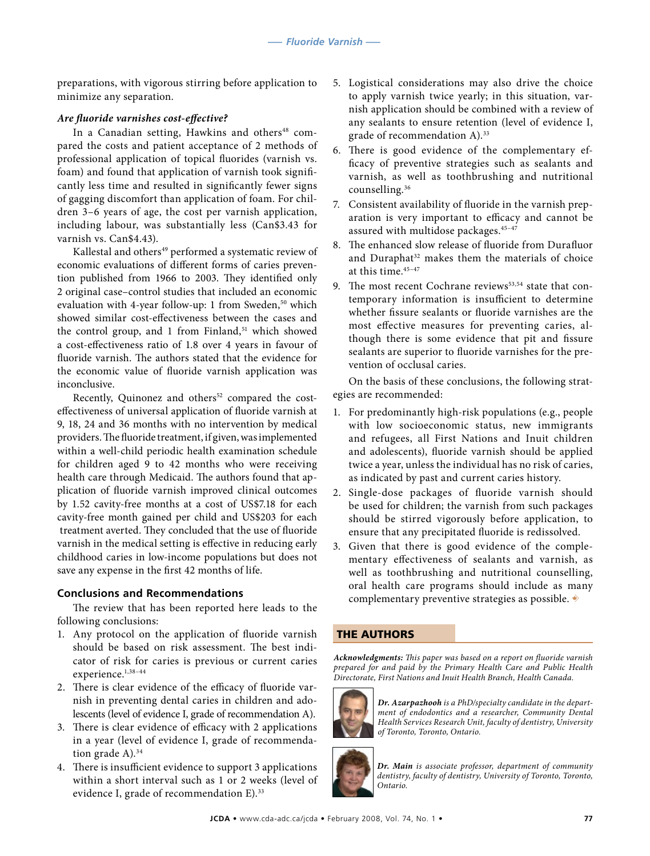preparations, with vigorous stirring before application to minimize any separation.

# *Are fluoride varnishes cost-effective?*

In a Canadian setting, Hawkins and others<sup>48</sup> compared the costs and patient acceptance of 2 methods of professional application of topical fluorides (varnish vs. foam) and found that application of varnish took significantly less time and resulted in significantly fewer signs of gagging discomfort than application of foam. For children 3–6 years of age, the cost per varnish application, including labour, was substantially less (Can\$3.43 for varnish vs. Can\$4.43).

Kallestal and others<sup>49</sup> performed a systematic review of economic evaluations of different forms of caries prevention published from 1966 to 2003. They identified only 2 original case–control studies that included an economic evaluation with 4-year follow-up: 1 from Sweden,<sup>50</sup> which showed similar cost-effectiveness between the cases and the control group, and 1 from Finland, $51$  which showed a cost-effectiveness ratio of 1.8 over 4 years in favour of fluoride varnish. The authors stated that the evidence for the economic value of fluoride varnish application was inconclusive.

Recently, Quinonez and others<sup>52</sup> compared the costeffectiveness of universal application of fluoride varnish at 9, 18, 24 and 36 months with no intervention by medical providers. The fluoride treatment, if given, was implemented within a well-child periodic health examination schedule for children aged 9 to 42 months who were receiving health care through Medicaid. The authors found that application of fluoride varnish improved clinical outcomes by 1.52 cavity-free months at a cost of US\$7.18 for each cavity-free month gained per child and US\$203 for each treatment averted. They concluded that the use of fluoride varnish in the medical setting is effective in reducing early childhood caries in low-income populations but does not save any expense in the first 42 months of life.

# **Conclusions and Recommendations**

The review that has been reported here leads to the following conclusions:

- 1. Any protocol on the application of fluoride varnish should be based on risk assessment. The best indicator of risk for caries is previous or current caries experience.<sup>1,38-44</sup>
- 2. There is clear evidence of the efficacy of fluoride varnish in preventing dental caries in children and adolescents (level of evidence I, grade of recommendation A).
- 3. There is clear evidence of efficacy with 2 applications in a year (level of evidence I, grade of recommendation grade  $A$ ).<sup>34</sup>
- 4. There is insufficient evidence to support 3 applications within a short interval such as 1 or 2 weeks (level of evidence I, grade of recommendation E).<sup>33</sup>
- 5. Logistical considerations may also drive the choice to apply varnish twice yearly; in this situation, varnish application should be combined with a review of any sealants to ensure retention (level of evidence I, grade of recommendation A).<sup>33</sup>
- 6. There is good evidence of the complementary efficacy of preventive strategies such as sealants and varnish, as well as toothbrushing and nutritional counselling.36
- 7. Consistent availability of fluoride in the varnish preparation is very important to efficacy and cannot be assured with multidose packages.<sup>45-47</sup>
- 8. The enhanced slow release of fluoride from Durafluor and Duraphat<sup>32</sup> makes them the materials of choice at this time.<sup>45-47</sup>
- 9. The most recent Cochrane reviews<sup>53,54</sup> state that contemporary information is insufficient to determine whether fissure sealants or fluoride varnishes are the most effective measures for preventing caries, although there is some evidence that pit and fissure sealants are superior to fluoride varnishes for the prevention of occlusal caries.

On the basis of these conclusions, the following strategies are recommended:

- 1. For predominantly high-risk populations (e.g., people with low socioeconomic status, new immigrants and refugees, all First Nations and Inuit children and adolescents), fluoride varnish should be applied twice a year, unless the individual has no risk of caries, as indicated by past and current caries history.
- 2. Single-dose packages of fluoride varnish should be used for children; the varnish from such packages should be stirred vigorously before application, to ensure that any precipitated fluoride is redissolved.
- 3. Given that there is good evidence of the complementary effectiveness of sealants and varnish, as well as toothbrushing and nutritional counselling, oral health care programs should include as many complementary preventive strategies as possible.  $\blacklozenge$

# THE AUTHORS

*Acknowledgments: This paper was based on a report on fluoride varnish prepared for and paid by the Primary Health Care and Public Health Directorate, First Nations and Inuit Health Branch, Health Canada.*



*Dr. Azarpazhooh is a PhD/specialty candidate in the department of endodontics and a researcher, Community Dental Health Services Research Unit, faculty of dentistry, University of Toronto, Toronto, Ontario.*



*Dr. Main is associate professor, department of community dentistry, faculty of dentistry, University of Toronto, Toronto, Ontario.*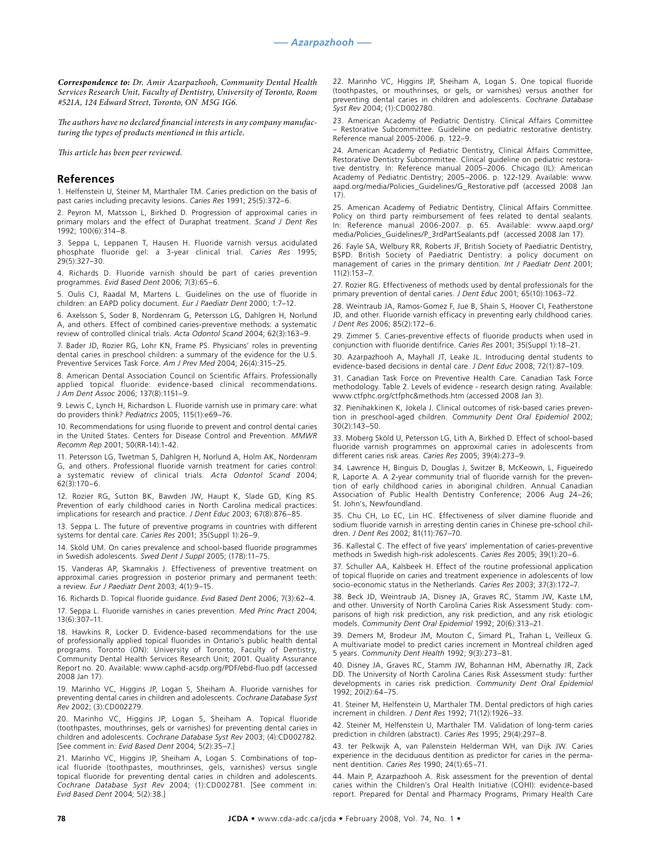*Correspondence to: Dr. Amir Azarpazhooh, Community Dental Health Services Research Unit, Faculty of Dentistry, University of Toronto, Room #521A, 124 Edward Street, Toronto, ON M5G 1G6.*

*The authors have no declared financial interests in any company manufacturing the types of products mentioned in this article.*

*This article has been peer reviewed.*

#### **References**

1. Helfenstein U, Steiner M, Marthaler TM. Caries prediction on the basis of past caries including precavity lesions. *Caries Res* 1991; 25(5):372–6.

2. Peyron M, Matsson L, Birkhed D. Progression of approximal caries in primary molars and the effect of Duraphat treatment. *Scand J Dent Res* 1992; 100(6):314–8.

3. Seppa L, Leppanen T, Hausen H. Fluoride varnish versus acidulated phosphate fluoride gel: a 3-year clinical trial. *Caries Res* 1995; 29(5):327–30.

4. Richards D. Fluoride varnish should be part of caries prevention programmes. *Evid Based Dent* 2006; 7(3):65–6.

5. Oulis CJ, Raadal M, Martens L. Guidelines on the use of fluoride in children: an EAPD policy document. *Eur J Paediatr Dent* 2000; 1:7–12.

6. Axelsson S, Soder B, Nordenram G, Petersson LG, Dahlgren H, Norlund A, and others. Effect of combined caries-preventive methods: a systematic review of controlled clinical trials. *Acta Odontol Scand* 2004; 62(3):163–9.

7. Bader JD, Rozier RG, Lohr KN, Frame PS. Physicians' roles in preventing dental caries in preschool children: a summary of the evidence for the U.S. Preventive Services Task Force. *Am J Prev Med* 2004; 26(4):315–25.

8. American Dental Association Council on Scientific Affairs. Professionally applied topical fluoride: evidence-based clinical recommendations. *J Am Dent Assoc* 2006; 137(8):1151–9.

9. Lewis C, Lynch H, Richardson L. Fluoride varnish use in primary care: what do providers think? *Pediatrics* 2005; 115(1):e69–76.

10. Recommendations for using fluoride to prevent and control dental caries in the United States. Centers for Disease Control and Prevention. *MMWR Recomm Rep* 2001; 50(RR-14):1-42.

11. Petersson LG, Twetman S, Dahlgren H, Norlund A, Holm AK, Nordenram G, and others. Professional fluoride varnish treatment for caries control: a systematic review of clinical trials. *Acta Odontol Scand* 2004; 62(3):170–6.

12. Rozier RG, Sutton BK, Bawden JW, Haupt K, Slade GD, King RS. Prevention of early childhood caries in North Carolina medical practices: implications for research and practice. *J Dent Educ* 2003; 67(8):876–85.

13. Seppa L. The future of preventive programs in countries with different systems for dental care. *Caries Res* 2001; 35(Suppl 1):26–9.

14. Sköld UM. On caries prevalence and school-based fluoride programmes in Swedish adolescents. *Swed Dent J Suppl* 2005; (178):11–75.

15. Vanderas AP, Skamnakis J. Effectiveness of preventive treatment on approximal caries progression in posterior primary and permanent teeth: a review. *Eur J Paediatr Dent* 2003; 4(1):9–15.

16. Richards D. Topical fluoride guidance. *Evid Based Dent* 2006; 7(3):62–4.

17. Seppa L. Fluoride varnishes in caries prevention. *Med Princ Pract* 2004; 13(6):307–11.

18. Hawkins R, Locker D. Evidence-based recommendations for the use of professionally applied topical fluorides in Ontario's public health dental programs. Toronto (ON): University of Toronto, Faculty of Dentistry, Community Dental Health Services Research Unit; 2001. Quality Assurance Report no. 20. Available: www.caphd-acsdp.org/PDF/ebd-fluo.pdf (accessed 2008 Jan 17).

19. Marinho VC, Higgins JP, Logan S, Sheiham A. Fluoride varnishes for preventing dental caries in children and adolescents. *Cochrane Database Syst Rev* 2002; (3):CD002279.

20. Marinho VC, Higgins JP, Logan S, Sheiham A. Topical fluoride (toothpastes, mouthrinses, gels or varnishes) for preventing dental caries in children and adolescents. *Cochrane Database Syst Rev* 2003; (4):CD002782. [See comment in: *Evid Based Dent* 2004; 5(2):35–7.]

21. Marinho VC, Higgins JP, Sheiham A, Logan S. Combinations of topical fluoride (toothpastes, mouthrinses, gels, varnishes) versus single topical fluoride for preventing dental caries in children and adolescents. *Cochrane Database Syst Rev* 2004; (1):CD002781. [See comment in: *Evid Based Dent* 2004; 5(2):38.]

22. Marinho VC, Higgins JP, Sheiham A, Logan S. One topical fluoride (toothpastes, or mouthrinses, or gels, or varnishes) versus another for preventing dental caries in children and adolescents. *Cochrane Database Syst Rev* 2004; (1):CD002780.

23. American Academy of Pediatric Dentistry. Clinical Affairs Committee – Restorative Subcommittee. Guideline on pediatric restorative dentistry. Reference manual 2005-2006. p. 122–9.

24. American Academy of Pediatric Dentistry, Clinical Affairs Committee, Restorative Dentistry Subcommittee. Clinical guideline on pediatric restorative dentistry. In: Reference manual 2005–2006. Chicago (IL): American Academy of Pediatric Dentistry; 2005–2006. p. 122-129. Available: www. aapd.org/media/Policies\_Guidelines/G\_Restorative.pdf (accessed 2008 Jan 17).

25. American Academy of Pediatric Dentistry, Clinical Affairs Committee. Policy on third party reimbursement of fees related to dental sealants. In: Reference manual 2006-2007. p. 65. Available: www.aapd.org/ media/Policies\_Guidelines/P\_3rdPartSealants.pdf (accessed 2008 Jan 17).

26. Fayle SA, Welbury RR, Roberts JF, British Society of Paediatric Dentistry, BSPD. British Society of Paediatric Dentistry: a policy document on management of caries in the primary dentition. *Int J Paediatr Dent* 2001; 11(2):153–7.

27. Rozier RG. Effectiveness of methods used by dental professionals for the primary prevention of dental caries. *J Dent Educ* 2001; 65(10):1063–72.

28. Weintraub JA, Ramos-Gomez F, Jue B, Shain S, Hoover CI, Featherstone JD, and other. Fluoride varnish efficacy in preventing early childhood caries. *J Dent Res* 2006; 85(2):172–6.

29. Zimmer S. Caries-preventive effects of fluoride products when used in conjunction with fluoride dentifrice. *Caries Res* 2001; 35(Suppl 1):18–21.

30. Azarpazhooh A, Mayhall JT, Leake JL. Introducing dental students to evidence-based decisions in dental care. *J Dent Educ* 2008; 72(1):87–109.

31. Canadian Task Force on Preventive Health Care. Canadian Task Force methodology. Table 2. Levels of evidence - research design rating. Available: www.ctfphc.org/ctfphc&methods.htm (accessed 2008 Jan 3).

32. Pienihakkinen K, Jokela J. Clinical outcomes of risk-based caries prevention in preschool-aged children. *Community Dent Oral Epidemiol* 2002; 30(2):143–50.

33. Moberg Sköld U, Petersson LG, Lith A, Birkhed D. Effect of school-based fluoride varnish programmes on approximal caries in adolescents from different caries risk areas. *Caries Res* 2005; 39(4):273–9.

34. Lawrence H, Binguis D, Douglas J, Switzer B, McKeown, L, Figueiredo R, Laporte A. A 2-year community trial of fluoride varnish for the prevention of early childhood caries in aboriginal children. Annual Canadian Association of Public Health Dentistry Conference; 2006 Aug 24–26; St. John's, Newfoundland.

35. Chu CH, Lo EC, Lin HC. Effectiveness of silver diamine fluoride and sodium fluoride varnish in arresting dentin caries in Chinese pre-school children. *J Dent Res* 2002; 81(11):767–70.

36. Kallestal C. The effect of five years' implementation of caries-preventive methods in Swedish high-risk adolescents. *Caries Res* 2005; 39(1):20–6.

37. Schuller AA, Kalsbeek H. Effect of the routine professional application of topical fluoride on caries and treatment experience in adolescents of low socio-economic status in the Netherlands. *Caries Res* 2003; 37(3):172–7.

38. Beck JD, Weintraub JA, Disney JA, Graves RC, Stamm JW, Kaste LM, and other. University of North Carolina Caries Risk Assessment Study: comparisons of high risk prediction, any risk prediction, and any risk etiologic models. *Community Dent Oral Epidemiol* 1992; 20(6):313–21.

39. Demers M, Brodeur JM, Mouton C, Simard PL, Trahan L, Veilleux G. A multivariate model to predict caries increment in Montreal children aged 5 years. *Community Dent Health* 1992; 9(3):273–81.

40. Disney JA, Graves RC, Stamm JW, Bohannan HM, Abernathy JR, Zack DD. The University of North Carolina Caries Risk Assessment study: further developments in caries risk prediction. *Community Dent Oral Epidemiol* 1992; 20(2):64–75.

41. Steiner M, Helfenstein U, Marthaler TM. Dental predictors of high caries increment in children. *J Dent Res* 1992; 71(12):1926–33.

42. Steiner M, Helfenstein U, Marthaler TM. Validation of long-term caries prediction in children (abstract). *Caries Res* 1995; 29(4):297–8.

43. ter Pelkwijk A, van Palenstein Helderman WH, van Dijk JW. Caries experience in the deciduous dentition as predictor for caries in the permanent dentition. *Caries Res* 1990; 24(1):65–71.

44. Main P, Azarpazhooh A. Risk assessment for the prevention of dental caries within the Children's Oral Health Initiative (COHI): evidence-based report. Prepared for Dental and Pharmacy Programs, Primary Health Care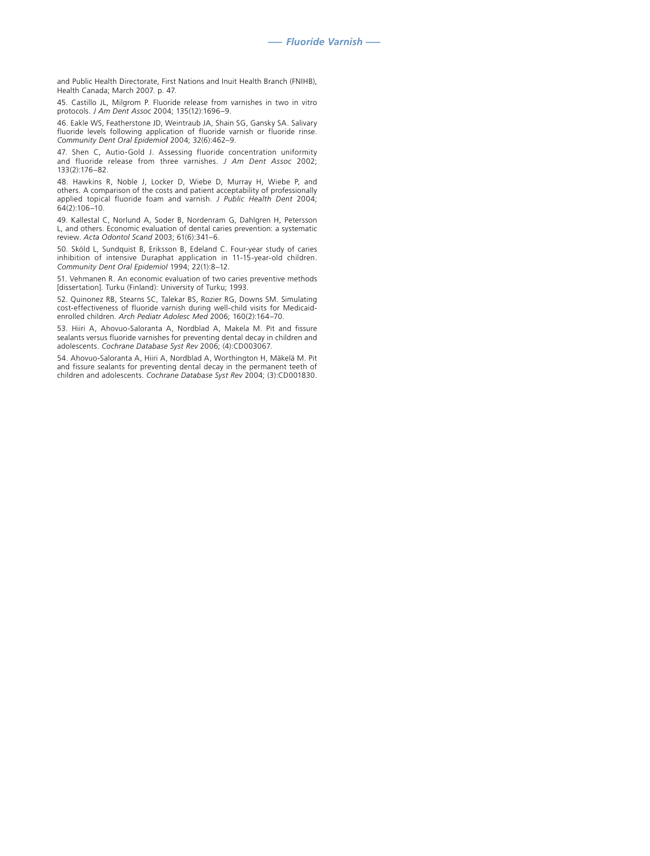and Public Health Directorate, First Nations and Inuit Health Branch (FNIHB), Health Canada; March 2007. p. 47.

45. Castillo JL, Milgrom P. Fluoride release from varnishes in two in vitro protocols. *J Am Dent Assoc* 2004; 135(12):1696–9.

46. Eakle WS, Featherstone JD, Weintraub JA, Shain SG, Gansky SA. Salivary fluoride levels following application of fluoride varnish or fluoride rinse. *Community Dent Oral Epidemiol* 2004; 32(6):462–9.

47. Shen C, Autio-Gold J. Assessing fluoride concentration uniformity and fluoride release from three varnishes. *J Am Dent Assoc* 2002; 133(2):176–82.

48. Hawkins R, Noble J, Locker D, Wiebe D, Murray H, Wiebe P, and others. A comparison of the costs and patient acceptability of professionally applied topical fluoride foam and varnish. *J Public Health Dent* 2004; 64(2):106–10.

49. Kallestal C, Norlund A, Soder B, Nordenram G, Dahlgren H, Petersson L, and others. Economic evaluation of dental caries prevention: a systematic review. *Acta Odontol Scand* 2003; 61(6):341–6.

50. Sköld L, Sundquist B, Eriksson B, Edeland C. Four-year study of caries inhibition of intensive Duraphat application in 11-15-year-old children. *Community Dent Oral Epidemiol* 1994; 22(1):8–12.

51. Vehmanen R. An economic evaluation of two caries preventive methods [dissertation]. Turku (Finland): University of Turku; 1993.

52. Quinonez RB, Stearns SC, Talekar BS, Rozier RG, Downs SM. Simulating cost-effectiveness of fluoride varnish during well-child visits for Medicaidenrolled children. *Arch Pediatr Adolesc Med* 2006; 160(2):164–70.

53. Hiiri A, Ahovuo-Saloranta A, Nordblad A, Makela M. Pit and fissure sealants versus fluoride varnishes for preventing dental decay in children and adolescents. *Cochrane Database Syst Rev* 2006; (4):CD003067.

54. Ahovuo-Saloranta A, Hiiri A, Nordblad A, Worthington H, Mäkelä M. Pit and fissure sealants for preventing dental decay in the permanent teeth of children and adolescents. *Cochrane Database Syst Rev* 2004; (3):CD001830.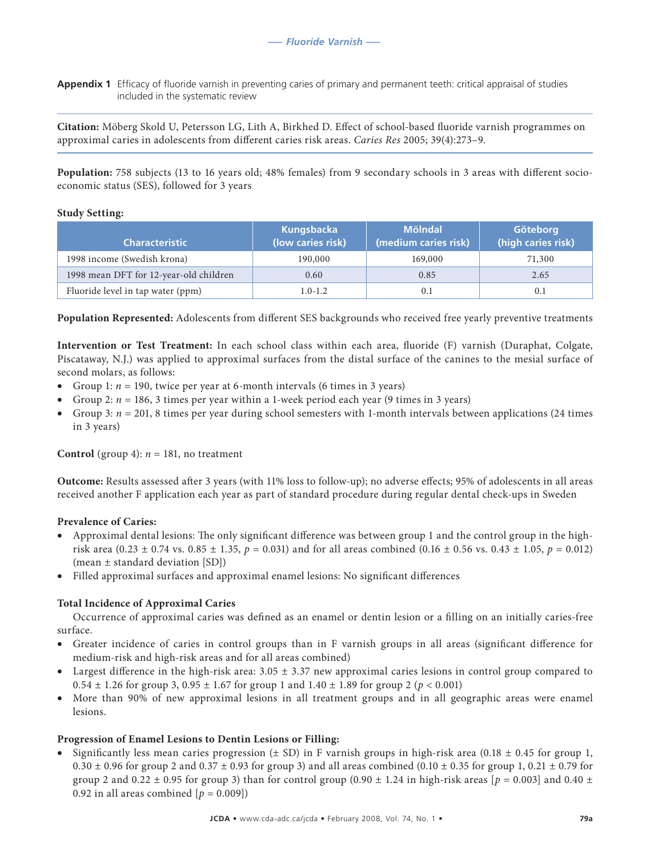**Appendix 1** Efficacy of fluoride varnish in preventing caries of primary and permanent teeth: critical appraisal of studies included in the systematic review

**Citation:** Möberg Skold U, Petersson LG, Lith A, Birkhed D. Effect of school-based fluoride varnish programmes on approximal caries in adolescents from different caries risk areas. *Caries Res* 2005; 39(4):273–9.

**Population:** 758 subjects (13 to 16 years old; 48% females) from 9 secondary schools in 3 areas with different socioeconomic status (SES), followed for 3 years

## **Study Setting:**

| <b>Characteristic</b>                  | Kungsbacka<br>(low caries risk) | <b>Mölndal</b><br>(medium caries risk) | Göteborg<br>(high caries risk) |
|----------------------------------------|---------------------------------|----------------------------------------|--------------------------------|
| 1998 income (Swedish krona)            | 190,000                         | 169,000                                | 71,300                         |
| 1998 mean DFT for 12-year-old children | 0.60                            | 0.85                                   | 2.65                           |
| Fluoride level in tap water (ppm)      | $1.0 - 1.2$                     | 0.1                                    | 0.1                            |

**Population Represented:** Adolescents from different SES backgrounds who received free yearly preventive treatments

**Intervention or Test Treatment:** In each school class within each area, fluoride (F) varnish (Duraphat, Colgate, Piscataway, N.J.) was applied to approximal surfaces from the distal surface of the canines to the mesial surface of second molars, as follows:

- Group 1:  $n = 190$ , twice per year at 6-month intervals (6 times in 3 years)
- Group 2:  $n = 186$ , 3 times per year within a 1-week period each year (9 times in 3 years)
- Group 3:  $n = 201$ , 8 times per year during school semesters with 1-month intervals between applications (24 times in 3 years)

**Control** (group 4):  $n = 181$ , no treatment

**Outcome:** Results assessed after 3 years (with 11% loss to follow-up); no adverse effects; 95% of adolescents in all areas received another F application each year as part of standard procedure during regular dental check-ups in Sweden

# **Prevalence of Caries:**

- • Approximal dental lesions: The only significant difference was between group 1 and the control group in the highrisk area  $(0.23 \pm 0.74 \text{ vs. } 0.85 \pm 1.35, p = 0.031)$  and for all areas combined  $(0.16 \pm 0.56 \text{ vs. } 0.43 \pm 1.05, p = 0.012)$ (mean ± standard deviation [SD])
- • Filled approximal surfaces and approximal enamel lesions: No significant differences

# **Total Incidence of Approximal Caries**

Occurrence of approximal caries was defined as an enamel or dentin lesion or a filling on an initially caries-free surface.

- Greater incidence of caries in control groups than in F varnish groups in all areas (significant difference for medium-risk and high-risk areas and for all areas combined)
- Largest difference in the high-risk area:  $3.05 \pm 3.37$  new approximal caries lesions in control group compared to  $0.54 \pm 1.26$  for group 3,  $0.95 \pm 1.67$  for group 1 and  $1.40 \pm 1.89$  for group 2 ( $p < 0.001$ )
- More than 90% of new approximal lesions in all treatment groups and in all geographic areas were enamel lesions.

# **Progression of Enamel Lesions to Dentin Lesions or Filling:**

• Significantly less mean caries progression ( $\pm$  SD) in F varnish groups in high-risk area (0.18  $\pm$  0.45 for group 1,  $0.30 \pm 0.96$  for group 2 and  $0.37 \pm 0.93$  for group 3) and all areas combined (0.10  $\pm$  0.35 for group 1, 0.21  $\pm$  0.79 for group 2 and  $0.22 \pm 0.95$  for group 3) than for control group  $(0.90 \pm 1.24$  in high-risk areas  $[p = 0.003]$  and  $0.40 \pm 1.24$ 0.92 in all areas combined  $[p = 0.009]$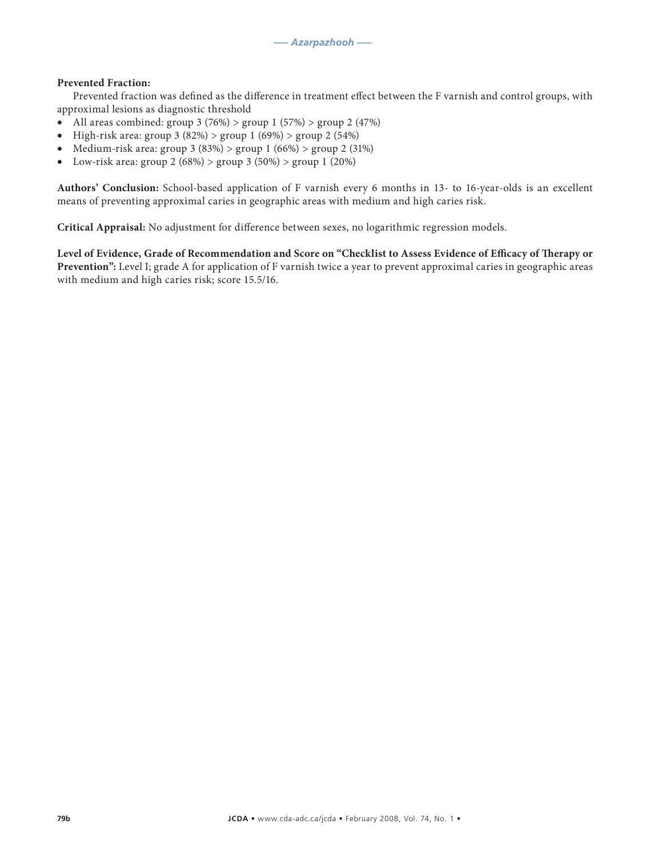# **Prevented Fraction:**

Prevented fraction was defined as the difference in treatment effect between the F varnish and control groups, with approximal lesions as diagnostic threshold

- All areas combined: group  $3 (76%) >$  group  $1 (57%) >$  group  $2 (47%)$
- High-risk area: group 3 (82%) > group 1 (69%) > group 2 (54%)
- Medium-risk area: group 3 (83%) > group 1 (66%) > group 2 (31%)
- Low-risk area: group 2 (68%) > group 3 (50%) > group 1 (20%)

**Authors' Conclusion:** School-based application of F varnish every 6 months in 13- to 16-year-olds is an excellent means of preventing approximal caries in geographic areas with medium and high caries risk.

**Critical Appraisal:** No adjustment for difference between sexes, no logarithmic regression models.

**Level of Evidence, Grade of Recommendation and Score on "Checklist to Assess Evidence of Efficacy of Therapy or Prevention":** Level I; grade A for application of F varnish twice a year to prevent approximal caries in geographic areas with medium and high caries risk; score 15.5/16.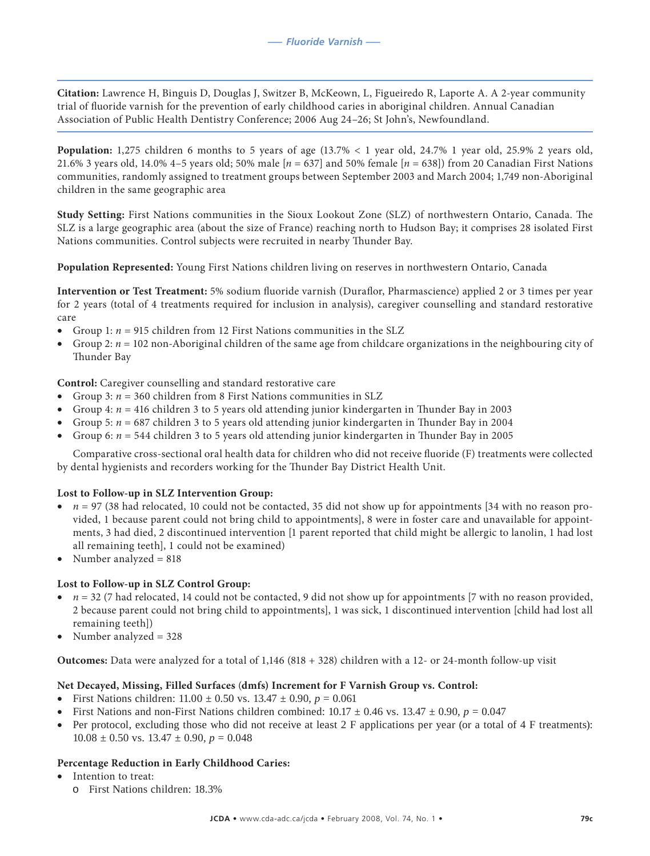**Citation:** Lawrence H, Binguis D, Douglas J, Switzer B, McKeown, L, Figueiredo R, Laporte A. A 2-year community trial of fluoride varnish for the prevention of early childhood caries in aboriginal children. Annual Canadian Association of Public Health Dentistry Conference; 2006 Aug 24–26; St John's, Newfoundland.

**Population:** 1,275 children 6 months to 5 years of age (13.7% < 1 year old, 24.7% 1 year old, 25.9% 2 years old, 21.6% 3 years old, 14.0% 4–5 years old; 50% male [*n* = 637] and 50% female [*n* = 638]) from 20 Canadian First Nations communities, randomly assigned to treatment groups between September 2003 and March 2004; 1,749 non-Aboriginal children in the same geographic area

**Study Setting:** First Nations communities in the Sioux Lookout Zone (SLZ) of northwestern Ontario, Canada. The SLZ is a large geographic area (about the size of France) reaching north to Hudson Bay; it comprises 28 isolated First Nations communities. Control subjects were recruited in nearby Thunder Bay.

**Population Represented:** Young First Nations children living on reserves in northwestern Ontario, Canada

**Intervention or Test Treatment:** 5% sodium fluoride varnish (Duraflor, Pharmascience) applied 2 or 3 times per year for 2 years (total of 4 treatments required for inclusion in analysis), caregiver counselling and standard restorative care

- Group 1:  $n = 915$  children from 12 First Nations communities in the SLZ
- Group 2:  $n = 102$  non-Aboriginal children of the same age from childcare organizations in the neighbouring city of Thunder Bay

**Control:** Caregiver counselling and standard restorative care

- Group 3:  $n = 360$  children from 8 First Nations communities in SLZ
- Group 4:  $n = 416$  children 3 to 5 years old attending junior kindergarten in Thunder Bay in 2003
- Group 5:  $n = 687$  children 3 to 5 years old attending junior kindergarten in Thunder Bay in 2004
- Group 6:  $n = 544$  children 3 to 5 years old attending junior kindergarten in Thunder Bay in 2005

Comparative cross-sectional oral health data for children who did not receive fluoride (F) treatments were collected by dental hygienists and recorders working for the Thunder Bay District Health Unit.

# **Lost to Follow-up in SLZ Intervention Group:**

- $n = 97$  (38 had relocated, 10 could not be contacted, 35 did not show up for appointments [34 with no reason provided, 1 because parent could not bring child to appointments], 8 were in foster care and unavailable for appointments, 3 had died, 2 discontinued intervention [1 parent reported that child might be allergic to lanolin, 1 had lost all remaining teeth], 1 could not be examined)
- Number analyzed = 818

# **Lost to Follow-up in SLZ Control Group:**

- $\bullet$  *n* = 32 (7 had relocated, 14 could not be contacted, 9 did not show up for appointments [7 with no reason provided, 2 because parent could not bring child to appointments], 1 was sick, 1 discontinued intervention [child had lost all remaining teeth])
- Number analyzed  $= 328$

**Outcomes:** Data were analyzed for a total of 1,146 (818 + 328) children with a 12- or 24-month follow-up visit

# **Net Decayed, Missing, Filled Surfaces** (**dmfs) Increment for F Varnish Group vs. Control:**

- First Nations children:  $11.00 \pm 0.50$  vs.  $13.47 \pm 0.90$ ,  $p = 0.061$
- First Nations and non-First Nations children combined:  $10.17 \pm 0.46$  vs.  $13.47 \pm 0.90$ ,  $p = 0.047$
- Per protocol, excluding those who did not receive at least  $2 \text{ F}$  applications per year (or a total of  $4 \text{ F}$  treatments):  $10.08 \pm 0.50$  vs.  $13.47 \pm 0.90$ ,  $p = 0.048$

# **Percentage Reduction in Early Childhood Caries:**

- Intention to treat:
	- o First Nations children: 18.3%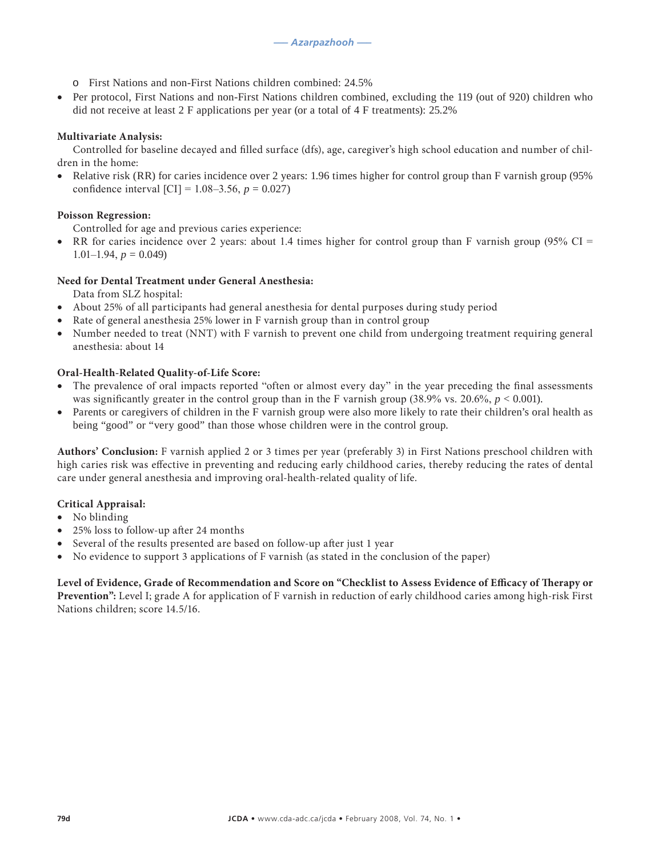- o First Nations and non-First Nations children combined: 24.5%
- Per protocol, First Nations and non-First Nations children combined, excluding the 119 (out of 920) children who did not receive at least 2 F applications per year (or a total of 4 F treatments): 25.2%

# **Multivariate Analysis:**

Controlled for baseline decayed and filled surface (dfs), age, caregiver's high school education and number of children in the home:

• Relative risk (RR) for caries incidence over 2 years: 1.96 times higher for control group than F varnish group (95%) confidence interval [CI] =  $1.08 - 3.56$ ,  $p = 0.027$ )

# **Poisson Regression:**

Controlled for age and previous caries experience:

RR for caries incidence over 2 years: about 1.4 times higher for control group than F varnish group (95% CI =  $1.01 - 1.94$ ,  $p = 0.049$ 

# **Need for Dental Treatment under General Anesthesia:**

Data from SLZ hospital:

- About 25% of all participants had general anesthesia for dental purposes during study period
- Rate of general anesthesia 25% lower in F varnish group than in control group
- Number needed to treat (NNT) with F varnish to prevent one child from undergoing treatment requiring general anesthesia: about 14

#### **Oral-Health-Related Quality-of-Life Score:**

- The prevalence of oral impacts reported "often or almost every day" in the year preceding the final assessments was significantly greater in the control group than in the F varnish group (38.9% vs. 20.6%,  $p < 0.001$ ).
- Parents or caregivers of children in the F varnish group were also more likely to rate their children's oral health as being "good" or "very good" than those whose children were in the control group.

**Authors' Conclusion:** F varnish applied 2 or 3 times per year (preferably 3) in First Nations preschool children with high caries risk was effective in preventing and reducing early childhood caries, thereby reducing the rates of dental care under general anesthesia and improving oral-health-related quality of life.

#### **Critical Appraisal:**

- No blinding
- 25% loss to follow-up after 24 months
- Several of the results presented are based on follow-up after just 1 year
- No evidence to support 3 applications of F varnish (as stated in the conclusion of the paper)

**Level of Evidence, Grade of Recommendation and Score on "Checklist to Assess Evidence of Efficacy of Therapy or Prevention":** Level I; grade A for application of F varnish in reduction of early childhood caries among high-risk First Nations children; score 14.5/16.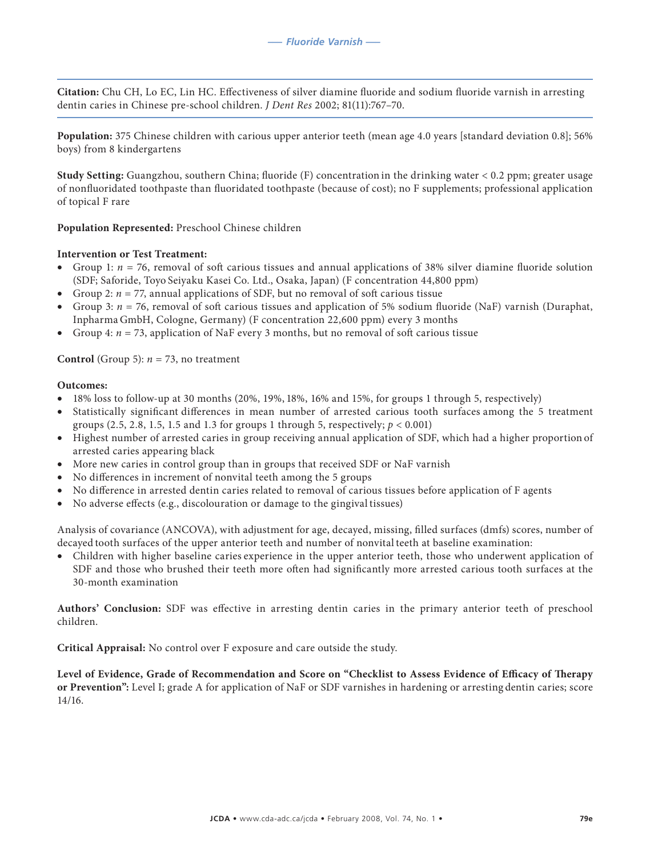**Citation:** Chu CH, Lo EC, Lin HC. Effectiveness of silver diamine fluoride and sodium fluoride varnish in arresting dentin caries in Chinese pre-school children. *J Dent Res* 2002; 81(11):767–70.

**Population:** 375 Chinese children with carious upper anterior teeth (mean age 4.0 years [standard deviation 0.8]; 56% boys) from 8 kindergartens

**Study Setting:** Guangzhou, southern China; fluoride (F) concentration in the drinking water < 0.2 ppm; greater usage of nonfluoridated toothpaste than fluoridated toothpaste (because of cost); no F supplements; professional application of topical F rare

**Population Represented:** Preschool Chinese children

#### **Intervention or Test Treatment:**

- Group 1:  $n = 76$ , removal of soft carious tissues and annual applications of 38% silver diamine fluoride solution (SDF; Saforide, Toyo Seiyaku Kasei Co. Ltd., Osaka, Japan) (F concentration 44,800 ppm)
- Group 2:  $n = 77$ , annual applications of SDF, but no removal of soft carious tissue
- Group 3:  $n = 76$ , removal of soft carious tissues and application of 5% sodium fluoride (NaF) varnish (Duraphat, Inpharma GmbH, Cologne, Germany) (F concentration 22,600 ppm) every 3 months
- Group 4:  $n = 73$ , application of NaF every 3 months, but no removal of soft carious tissue

**Control** (Group 5):  $n = 73$ , no treatment

#### **Outcomes:**

- $\bullet$  18% loss to follow-up at 30 months (20%, 19%, 18%, 16% and 15%, for groups 1 through 5, respectively)
- Statistically significant differences in mean number of arrested carious tooth surfaces among the 5 treatment groups (2.5, 2.8, 1.5, 1.5 and 1.3 for groups 1 through 5, respectively;  $p < 0.001$ )
- • Highest number of arrested caries in group receiving annual application of SDF, which had a higher proportion of arrested caries appearing black
- More new caries in control group than in groups that received SDF or NaF varnish
- No differences in increment of nonvital teeth among the 5 groups
- No difference in arrested dentin caries related to removal of carious tissues before application of F agents
- No adverse effects (e.g., discolouration or damage to the gingival tissues)

Analysis of covariance (ANCOVA), with adjustment for age, decayed, missing, filled surfaces (dmfs) scores, number of decayed tooth surfaces of the upper anterior teeth and number of nonvital teeth at baseline examination:

• Children with higher baseline caries experience in the upper anterior teeth, those who underwent application of SDF and those who brushed their teeth more often had significantly more arrested carious tooth surfaces at the 30-month examination

**Authors' Conclusion:** SDF was effective in arresting dentin caries in the primary anterior teeth of preschool children.

**Critical Appraisal:** No control over F exposure and care outside the study.

**Level of Evidence, Grade of Recommendation and Score on "Checklist to Assess Evidence of Efficacy of Therapy or Prevention":** Level I; grade A for application of NaF or SDF varnishes in hardening or arresting dentin caries; score 14/16.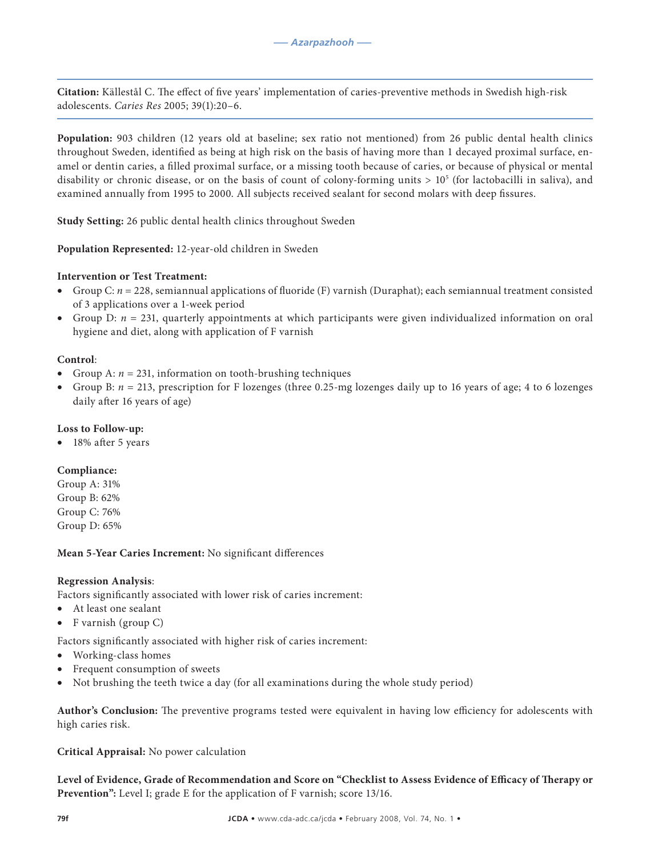**Citation:** Källestål C. The effect of five years' implementation of caries-preventive methods in Swedish high-risk adolescents. *Caries Res* 2005; 39(1):20–6.

**Population:** 903 children (12 years old at baseline; sex ratio not mentioned) from 26 public dental health clinics throughout Sweden, identified as being at high risk on the basis of having more than 1 decayed proximal surface, enamel or dentin caries, a filled proximal surface, or a missing tooth because of caries, or because of physical or mental disability or chronic disease, or on the basis of count of colony-forming units  $> 10^5$  (for lactobacilli in saliva), and examined annually from 1995 to 2000. All subjects received sealant for second molars with deep fissures.

**Study Setting:** 26 public dental health clinics throughout Sweden

**Population Represented:** 12-year-old children in Sweden

# **Intervention or Test Treatment:**

- • Group C: *n* = 228, semiannual applications of fluoride (F) varnish (Duraphat); each semiannual treatment consisted of 3 applications over a 1-week period
- Group D:  $n = 231$ , quarterly appointments at which participants were given individualized information on oral hygiene and diet, along with application of F varnish

# **Control**:

- Group A:  $n = 231$ , information on tooth-brushing techniques
- • Group B: *n* = 213, prescription for F lozenges (three 0.25-mg lozenges daily up to 16 years of age; 4 to 6 lozenges daily after 16 years of age)

# **Loss to Follow-up:**

18% after 5 years

# **Compliance:**

Group A: 31% Group B: 62% Group C: 76% Group D: 65%

# **Mean 5-Year Caries Increment:** No significant differences

# **Regression Analysis**:

Factors significantly associated with lower risk of caries increment:

- • At least one sealant
- F varnish (group C)

Factors significantly associated with higher risk of caries increment:

- Working-class homes
- Frequent consumption of sweets
- Not brushing the teeth twice a day (for all examinations during the whole study period)

**Author's Conclusion:** The preventive programs tested were equivalent in having low efficiency for adolescents with high caries risk.

**Critical Appraisal:** No power calculation

**Level of Evidence, Grade of Recommendation and Score on "Checklist to Assess Evidence of Efficacy of Therapy or Prevention":** Level I; grade E for the application of F varnish; score 13/16.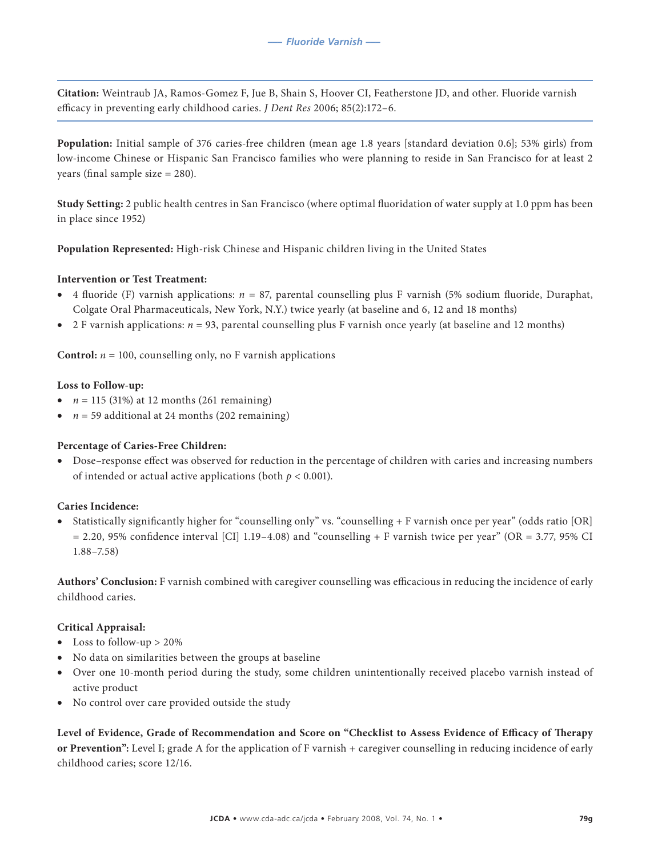**Citation:** Weintraub JA, Ramos-Gomez F, Jue B, Shain S, Hoover CI, Featherstone JD, and other. Fluoride varnish efficacy in preventing early childhood caries. *J Dent Res* 2006; 85(2):172–6.

**Population:** Initial sample of 376 caries-free children (mean age 1.8 years [standard deviation 0.6]; 53% girls) from low-income Chinese or Hispanic San Francisco families who were planning to reside in San Francisco for at least 2 years (final sample size = 280).

**Study Setting:** 2 public health centres in San Francisco (where optimal fluoridation of water supply at 1.0 ppm has been in place since 1952)

**Population Represented:** High-risk Chinese and Hispanic children living in the United States

# **Intervention or Test Treatment:**

- 4 fluoride (F) varnish applications:  $n = 87$ , parental counselling plus F varnish (5% sodium fluoride, Duraphat, Colgate Oral Pharmaceuticals, New York, N.Y.) twice yearly (at baseline and 6, 12 and 18 months)
- 2 F varnish applications:  $n = 93$ , parental counselling plus F varnish once yearly (at baseline and 12 months)

**Control:**  $n = 100$ , counselling only, no F varnish applications

# **Loss to Follow-up:**

- $n = 115$  (31%) at 12 months (261 remaining)
- $n = 59$  additional at 24 months (202 remaining)

# **Percentage of Caries-Free Children:**

• Dose–response effect was observed for reduction in the percentage of children with caries and increasing numbers of intended or actual active applications (both  $p < 0.001$ ).

# **Caries Incidence:**

Statistically significantly higher for "counselling only" vs. "counselling + F varnish once per year" (odds ratio [OR]  $= 2.20, 95\%$  confidence interval [CI] 1.19–4.08) and "counselling + F varnish twice per year" (OR = 3.77, 95% CI 1.88–7.58)

**Authors' Conclusion:** F varnish combined with caregiver counselling was efficacious in reducing the incidence of early childhood caries.

# **Critical Appraisal:**

- Loss to follow-up  $> 20\%$
- No data on similarities between the groups at baseline
- • Over one 10-month period during the study, some children unintentionally received placebo varnish instead of active product
- No control over care provided outside the study

**Level of Evidence, Grade of Recommendation and Score on "Checklist to Assess Evidence of Efficacy of Therapy or Prevention":** Level I; grade A for the application of F varnish + caregiver counselling in reducing incidence of early childhood caries; score 12/16.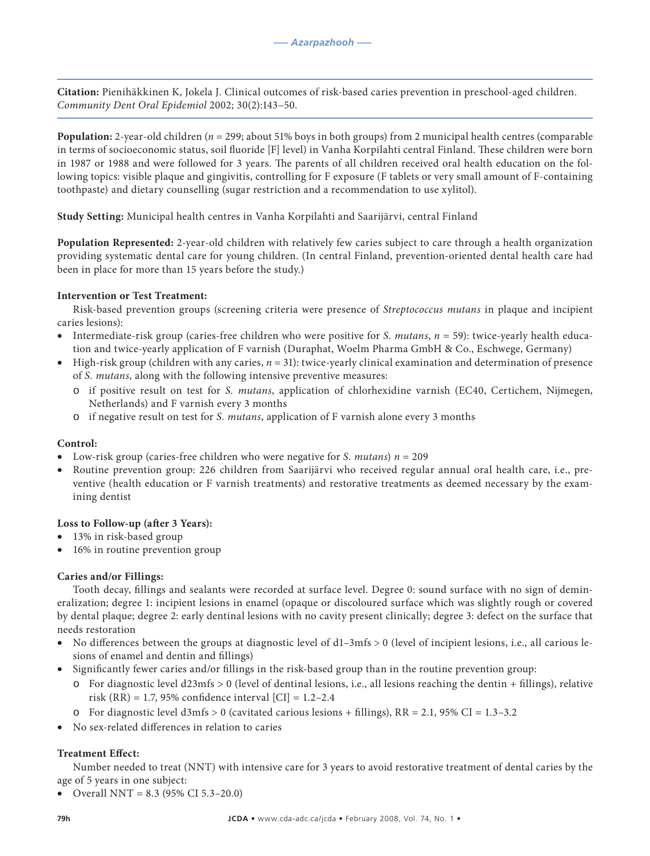**Citation:** Pienihäkkinen K, Jokela J. Clinical outcomes of risk-based caries prevention in preschool-aged children. *Community Dent Oral Epidemiol* 2002; 30(2):143–50.

**Population:** 2-year-old children (*n* = 299; about 51% boys in both groups) from 2 municipal health centres (comparable in terms of socioeconomic status, soil fluoride [F] level) in Vanha Korpilahti central Finland. These children were born in 1987 or 1988 and were followed for 3 years. The parents of all children received oral health education on the following topics: visible plaque and gingivitis, controlling for F exposure (F tablets or very small amount of F-containing toothpaste) and dietary counselling (sugar restriction and a recommendation to use xylitol).

**Study Setting:** Municipal health centres in Vanha Korpilahti and Saarijärvi, central Finland

**Population Represented:** 2-year-old children with relatively few caries subject to care through a health organization providing systematic dental care for young children. (In central Finland, prevention-oriented dental health care had been in place for more than 15 years before the study.)

# **Intervention or Test Treatment:**

Risk-based prevention groups (screening criteria were presence of *Streptococcus mutans* in plaque and incipient caries lesions):

- Intermediate-risk group (caries-free children who were positive for *S. mutans*,  $n = 59$ ): twice-yearly health education and twice-yearly application of F varnish (Duraphat, Woelm Pharma GmbH & Co., Eschwege, Germany)
- High-risk group (children with any caries,  $n = 31$ ): twice-yearly clinical examination and determination of presence of *S. mutans*, along with the following intensive preventive measures:
	- o if positive result on test for *S. mutans*, application of chlorhexidine varnish (EC40, Certichem, Nijmegen, Netherlands) and F varnish every 3 months
	- o if negative result on test for *S. mutans*, application of F varnish alone every 3 months

# **Control:**

- Low-risk group (caries-free children who were negative for *S. mutans*)  $n = 209$
- Routine prevention group: 226 children from Saarijärvi who received regular annual oral health care, i.e., preventive (health education or F varnish treatments) and restorative treatments as deemed necessary by the examining dentist

# **Loss to Follow-up (after 3 Years):**

- 13% in risk-based group
- 16% in routine prevention group

# **Caries and/or Fillings:**

Tooth decay, fillings and sealants were recorded at surface level. Degree 0: sound surface with no sign of demineralization; degree 1: incipient lesions in enamel (opaque or discoloured surface which was slightly rough or covered by dental plaque; degree 2: early dentinal lesions with no cavity present clinically; degree 3: defect on the surface that needs restoration

- No differences between the groups at diagnostic level of  $d1-3mfs > 0$  (level of incipient lesions, i.e., all carious lesions of enamel and dentin and fillings)
- • Significantly fewer caries and/or fillings in the risk-based group than in the routine prevention group:
	- $\circ$  For diagnostic level d23mfs  $> 0$  (level of dentinal lesions, i.e., all lesions reaching the dentin + fillings), relative risk (RR) = 1.7, 95% confidence interval [CI] = 1.2–2.4
	- $\circ$  For diagnostic level d3mfs > 0 (cavitated carious lesions + fillings), RR = 2.1, 95% CI = 1.3–3.2
- No sex-related differences in relation to caries

# **Treatment Effect:**

Number needed to treat (NNT) with intensive care for 3 years to avoid restorative treatment of dental caries by the age of 5 years in one subject:

• Overall NNT =  $8.3$  (95% CI 5.3–20.0)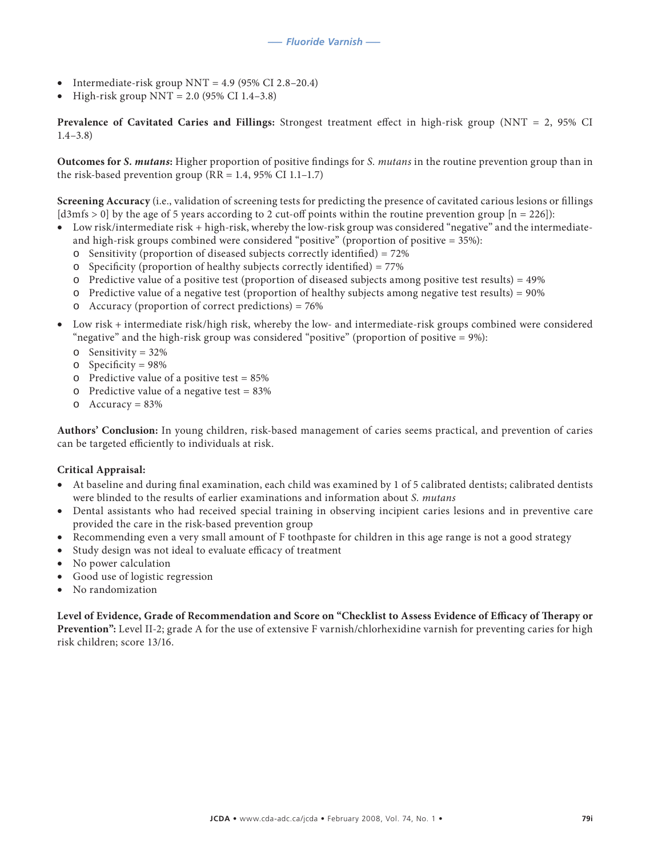- Intermediate-risk group NNT =  $4.9$  (95% CI 2.8–20.4)
- High-risk group  $NNT = 2.0$  (95% CI 1.4–3.8)

**Prevalence of Cavitated Caries and Fillings:** Strongest treatment effect in high-risk group (NNT = 2, 95% CI 1.4–3.8)

**Outcomes for** *S. mutans***:** Higher proportion of positive findings for *S. mutans* in the routine prevention group than in the risk-based prevention group ( $RR = 1.4$ , 95% CI 1.1-1.7)

**Screening Accuracy** (i.e., validation of screening tests for predicting the presence of cavitated carious lesions or fillings [d3mfs > 0] by the age of 5 years according to 2 cut-off points within the routine prevention group  $[n = 226]$ :

- • Low risk/intermediate risk + high-risk, whereby the low-risk group was considered "negative" and the intermediateand high-risk groups combined were considered "positive" (proportion of positive = 35%):
	- $\circ$  Sensitivity (proportion of diseased subjects correctly identified) = 72%
	- o Specificity (proportion of healthy subjects correctly identified) = 77%
	- o Predictive value of a positive test (proportion of diseased subjects among positive test results) = 49%
	- $\circ$  Predictive value of a negative test (proportion of healthy subjects among negative test results) = 90%
	- o Accuracy (proportion of correct predictions) = 76%
- Low risk + intermediate risk/high risk, whereby the low- and intermediate-risk groups combined were considered "negative" and the high-risk group was considered "positive" (proportion of positive = 9%):
	- o Sensitivity = 32%
	- o Specificity = 98%
	- o Predictive value of a positive test = 85%
	- o Predictive value of a negative test =  $83\%$
	- $O$  Accuracy = 83%

**Authors' Conclusion:** In young children, risk-based management of caries seems practical, and prevention of caries can be targeted efficiently to individuals at risk.

#### **Critical Appraisal:**

- At baseline and during final examination, each child was examined by 1 of 5 calibrated dentists; calibrated dentists were blinded to the results of earlier examinations and information about *S. mutans*
- Dental assistants who had received special training in observing incipient caries lesions and in preventive care provided the care in the risk-based prevention group
- Recommending even a very small amount of F toothpaste for children in this age range is not a good strategy
- Study design was not ideal to evaluate efficacy of treatment
- No power calculation
- Good use of logistic regression
- No randomization

**Level of Evidence, Grade of Recommendation and Score on "Checklist to Assess Evidence of Efficacy of Therapy or Prevention":** Level II-2; grade A for the use of extensive F varnish/chlorhexidine varnish for preventing caries for high risk children; score 13/16.